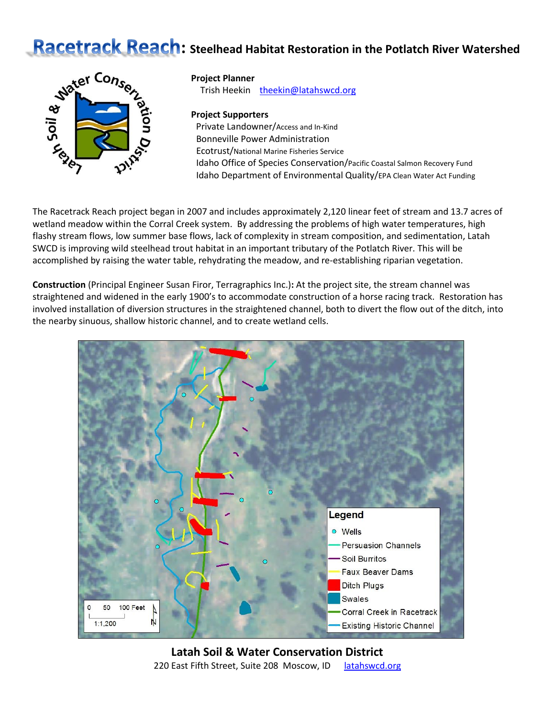## **Racetrack Reach:** Steelhead Habitat Restoration in the Potlatch River Watershed



## **Project Planner**

Trish Heekin[theekin@latahswcd.org](mailto:theekin@latahswcd.org)

## **Project Supporters**

 Private Landowner/Access and In-Kind Bonneville Power Administration Ecotrust/National Marine Fisheries Service Idaho Office of Species Conservation/Pacific Coastal Salmon Recovery Fund Idaho Department of Environmental Quality/EPA Clean Water Act Funding

The Racetrack Reach project began in 2007 and includes approximately 2,120 linear feet of stream and 13.7 acres of wetland meadow within the Corral Creek system. By addressing the problems of high water temperatures, high flashy stream flows, low summer base flows, lack of complexity in stream composition, and sedimentation, Latah SWCD is improving wild steelhead trout habitat in an important tributary of the Potlatch River. This will be accomplished by raising the water table, rehydrating the meadow, and re-establishing riparian vegetation.

**Construction** (Principal Engineer Susan Firor, Terragraphics Inc.)**:** At the project site, the stream channel was straightened and widened in the early 1900's to accommodate construction of a horse racing track. Restoration has involved installation of diversion structures in the straightened channel, both to divert the flow out of the ditch, into the nearby sinuous, shallow historic channel, and to create wetland cells.